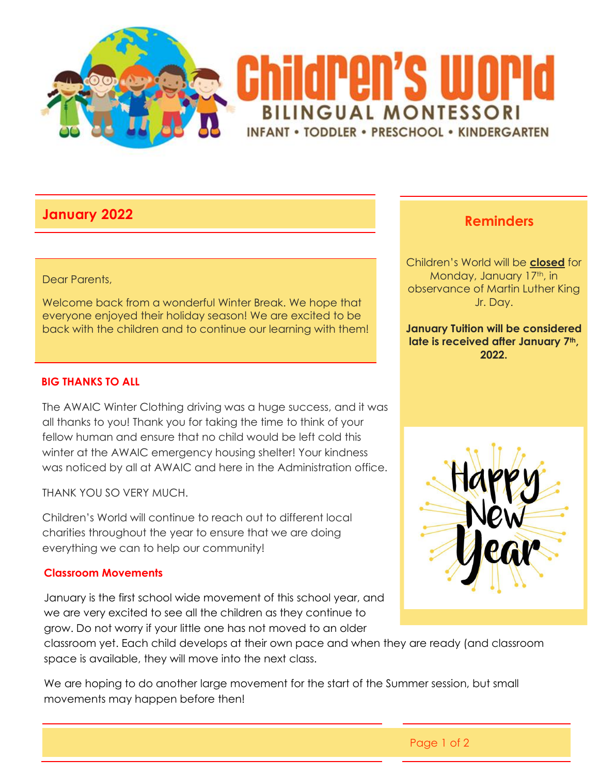

# **January 2022**

### Dear Parents,

Welcome back from a wonderful Winter Break. We hope that everyone enjoyed their holiday season! We are excited to be back with the children and to continue our learning with them!

## **BIG THANKS TO ALL**

The AWAIC Winter Clothing driving was a huge success, and it was all thanks to you! Thank you for taking the time to think of your fellow human and ensure that no child would be left cold this winter at the AWAIC emergency housing shelter! Your kindness was noticed by all at AWAIC and here in the Administration office.

THANK YOU SO VERY MUCH.

Children's World will continue to reach out to different local charities throughout the year to ensure that we are doing everything we can to help our community!

### **Classroom Movements**

January is the first school wide movement of this school year, and we are very excited to see all the children as they continue to grow. Do not worry if your little one has not moved to an older

classroom yet. Each child develops at their own pace and when they are ready (and classroom space is available, they will move into the next class.

We are hoping to do another large movement for the start of the Summer session, but small movements may happen before then!

# **Reminders**

Children's World will be **closed** for Monday, January 17th, in observance of Martin Luther King Jr. Day.

**January Tuition will be considered late is received after January 7th, 2022.**